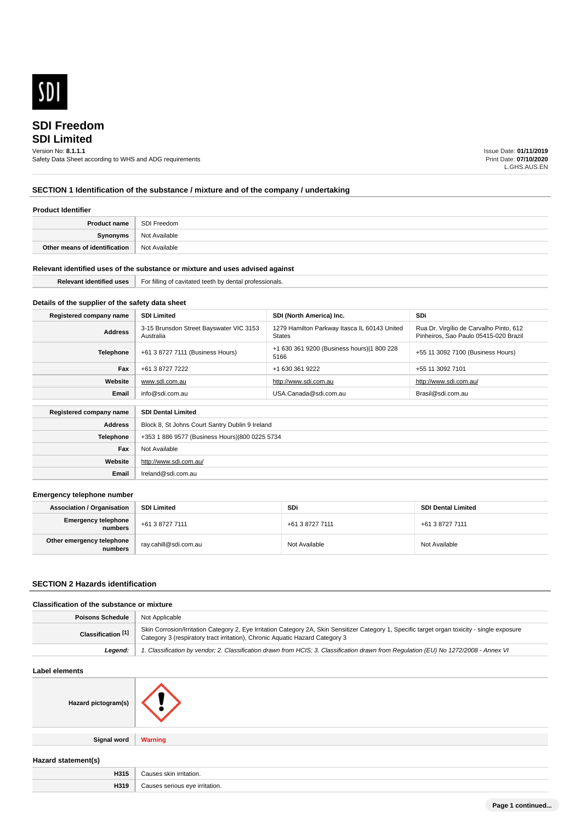

# **SDI Limited SDI Freedom**

# Version No: **8.1.1.1**

Safety Data Sheet according to WHS and ADG requirements

Issue Date: **01/11/2019** Print Date: **07/10/2020** L.GHS.AUS.EN

## **SECTION 1 Identification of the substance / mixture and of the company / undertaking**

#### **Product Identifier**

| <b>Product name</b>           | SDI Freedom   |
|-------------------------------|---------------|
| <b>Synonyms</b>               | Not Available |
| Other means of identification | Not Available |

#### **Relevant identified uses of the substance or mixture and uses advised against**

| <b>Identified</b><br>----- | <br>For<br>' fillin<br>l professionals.<br>$\sim$<br>.<br>чыны.<br>$\cdots$<br>15511 U |  |
|----------------------------|----------------------------------------------------------------------------------------|--|
|                            |                                                                                        |  |

## **Details of the supplier of the safety data sheet**

**Website**

**Email** Ireland@sdi.com.au

http://www.sdi.com.au/

| Registered company name                              | <b>SDI Limited</b>                                   | SDI (North America) Inc.                                      | <b>SDi</b>                                                                       |
|------------------------------------------------------|------------------------------------------------------|---------------------------------------------------------------|----------------------------------------------------------------------------------|
| <b>Address</b>                                       | 3-15 Brunsdon Street Bayswater VIC 3153<br>Australia | 1279 Hamilton Parkway Itasca IL 60143 United<br><b>States</b> | Rua Dr. Virgílio de Carvalho Pinto, 612<br>Pinheiros, Sao Paulo 05415-020 Brazil |
| Telephone                                            | +61 3 8727 7111 (Business Hours)                     | +1 630 361 9200 (Business hours) 1 800 228<br>5166            | +55 11 3092 7100 (Business Hours)                                                |
| Fax                                                  | +61 3 8727 7222                                      | +1 630 361 9222                                               | +55 11 3092 7101                                                                 |
| Website                                              | www.sdi.com.au                                       | http://www.sdi.com.au                                         | http://www.sdi.com.au/                                                           |
| Email                                                | info@sdi.com.au                                      | USA.Canada@sdi.com.au                                         | Brasil@sdi.com.au                                                                |
| Registered company name<br><b>SDI Dental Limited</b> |                                                      |                                                               |                                                                                  |
|                                                      |                                                      |                                                               |                                                                                  |
| <b>Address</b>                                       | Block 8, St Johns Court Santry Dublin 9 Ireland      |                                                               |                                                                                  |
| <b>Telephone</b>                                     | +353 1 886 9577 (Business Hours) 800 0225 5734       |                                                               |                                                                                  |
| Fax                                                  | Not Available                                        |                                                               |                                                                                  |

#### **Emergency telephone number**

| <b>Association / Organisation</b>    | SDI Limited           | <b>SDi</b>      | <b>SDI Dental Limited</b> |
|--------------------------------------|-----------------------|-----------------|---------------------------|
| Emergency telephone<br>numbers       | +61 3 8727 7111       | +61 3 8727 7111 | +61 3 8727 7111           |
| Other emergency telephone<br>numbers | ray.cahill@sdi.com.au | Not Available   | Not Available             |

#### **SECTION 2 Hazards identification**

## **Classification of the substance or mixture**

| Poisons Schedule   | <sup>1</sup> Not Applicable                                                                                                                                                                                                    |
|--------------------|--------------------------------------------------------------------------------------------------------------------------------------------------------------------------------------------------------------------------------|
| Classification [1] | Skin Corrosion/Irritation Category 2, Eye Irritation Category 2A, Skin Sensitizer Category 1, Specific target organ toxicity - single exposure<br>Category 3 (respiratory tract irritation), Chronic Aquatic Hazard Category 3 |
| Leaend:            | 1. Classification by vendor; 2. Classification drawn from HCIS; 3. Classification drawn from Regulation (EU) No 1272/2008 - Annex VI                                                                                           |

#### **Label elements**

| Hazard pictogram(s) |                |
|---------------------|----------------|
| <b>Signal word</b>  | <b>Warning</b> |
| Hazard statement(s) |                |

| H315 | Causes skin irritation.<br>odubo - |
|------|------------------------------------|
| H319 | irritation.<br>"<br>$\bigcap$<br>. |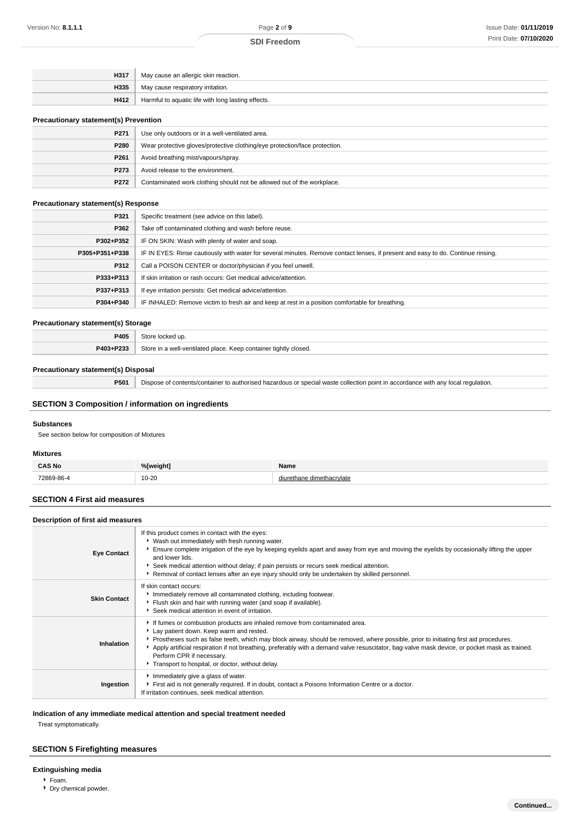| H317 | May cause an allergic skin reaction.               |
|------|----------------------------------------------------|
| H335 | May cause respiratory irritation.                  |
| H412 | Harmful to aquatic life with long lasting effects. |

#### **Precautionary statement(s) Prevention**

| $\cdots$         |                                                                            |  |
|------------------|----------------------------------------------------------------------------|--|
| P271             | Use only outdoors or in a well-ventilated area.                            |  |
| P280             | Wear protective gloves/protective clothing/eye protection/face protection. |  |
| P261             | Avoid breathing mist/vapours/spray.                                        |  |
| P <sub>273</sub> | Avoid release to the environment.                                          |  |
| P272             | Contaminated work clothing should not be allowed out of the workplace.     |  |

### **Precautionary statement(s) Response**

| P321           | Specific treatment (see advice on this label).                                                                                   |
|----------------|----------------------------------------------------------------------------------------------------------------------------------|
| P362           | Take off contaminated clothing and wash before reuse.                                                                            |
| P302+P352      | IF ON SKIN: Wash with plenty of water and soap.                                                                                  |
| P305+P351+P338 | IF IN EYES: Rinse cautiously with water for several minutes. Remove contact lenses, if present and easy to do. Continue rinsing. |
| P312           | Call a POISON CENTER or doctor/physician if you feel unwell.                                                                     |
| P333+P313      | If skin irritation or rash occurs: Get medical advice/attention.                                                                 |
| P337+P313      | If eye irritation persists: Get medical advice/attention.                                                                        |
| P304+P340      | IF INHALED: Remove victim to fresh air and keep at rest in a position comfortable for breathing.                                 |
|                |                                                                                                                                  |

#### **Precautionary statement(s) Storage**

| ______    |                                                                  |
|-----------|------------------------------------------------------------------|
| P405      | Tocked up.                                                       |
| P403+P233 | Store in a well-ventilated place. Keep container tightly closed. |

#### **Precautionary statement(s) Disposal**

**P501** Dispose of contents/container to authorised hazardous or special waste collection point in accordance with any local regulation.

## **SECTION 3 Composition / information on ingredients**

#### **Substances**

See section below for composition of Mixtures

#### **Mixtures**

| <b>CAS No</b> | %[weiaht] | Name           |
|---------------|-----------|----------------|
| 72869-86-4    | $10 - 20$ | dimethacrvlate |

## **SECTION 4 First aid measures**

**Description of first aid measures**

| Description of first aid measures |                                                                                                                                                                                                                                                                                                                                                                                                                                                                                                 |  |
|-----------------------------------|-------------------------------------------------------------------------------------------------------------------------------------------------------------------------------------------------------------------------------------------------------------------------------------------------------------------------------------------------------------------------------------------------------------------------------------------------------------------------------------------------|--|
| <b>Eye Contact</b>                | If this product comes in contact with the eyes:<br>▶ Wash out immediately with fresh running water.<br>Ensure complete irrigation of the eye by keeping eyelids apart and away from eye and moving the eyelids by occasionally lifting the upper<br>and lower lids.<br>Seek medical attention without delay; if pain persists or recurs seek medical attention.<br>Removal of contact lenses after an eye injury should only be undertaken by skilled personnel.                                |  |
| <b>Skin Contact</b>               | If skin contact occurs:<br>Immediately remove all contaminated clothing, including footwear.<br>Flush skin and hair with running water (and soap if available).<br>Seek medical attention in event of irritation.                                                                                                                                                                                                                                                                               |  |
| Inhalation                        | If fumes or combustion products are inhaled remove from contaminated area.<br>Lay patient down. Keep warm and rested.<br>Prostheses such as false teeth, which may block airway, should be removed, where possible, prior to initiating first aid procedures.<br>Apply artificial respiration if not breathing, preferably with a demand valve resuscitator, bag-valve mask device, or pocket mask as trained.<br>Perform CPR if necessary.<br>Transport to hospital, or doctor, without delay. |  |
| Ingestion                         | Immediately give a glass of water.<br>First aid is not generally required. If in doubt, contact a Poisons Information Centre or a doctor.<br>If irritation continues, seek medical attention.                                                                                                                                                                                                                                                                                                   |  |

#### **Indication of any immediate medical attention and special treatment needed**

Treat symptomatically.

## **SECTION 5 Firefighting measures**

## **Extinguishing media**

- Foam.
- Dry chemical powder.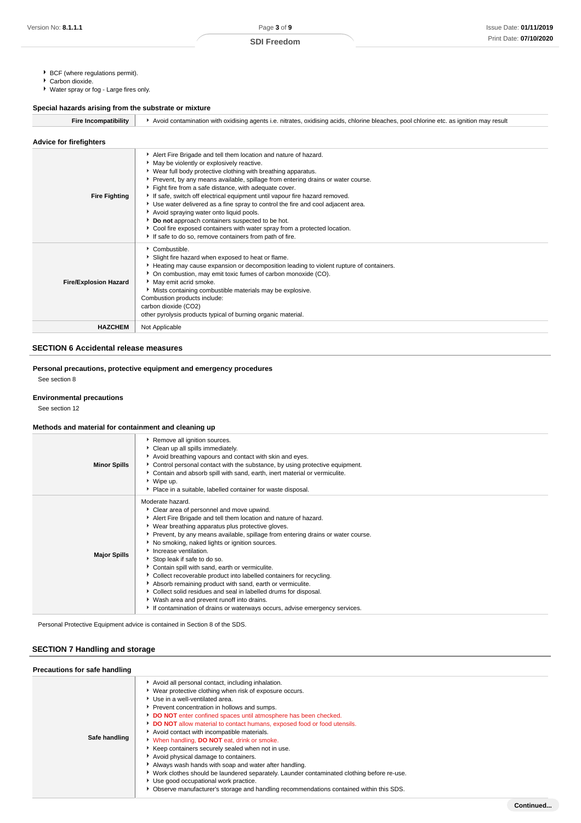- ▶ BCF (where regulations permit).
- Carbon dioxide.
- Water spray or fog Large fires only.

## **Special hazards arising from the substrate or mixture**

| <b>Fire Incompatibility</b>    | Avoid contamination with oxidising agents i.e. nitrates, oxidising acids, chlorine bleaches, pool chlorine etc. as ignition may result                                                                                                                                                                                                                                                                                                                                                                                                                                                                                                                                                                                              |  |  |  |
|--------------------------------|-------------------------------------------------------------------------------------------------------------------------------------------------------------------------------------------------------------------------------------------------------------------------------------------------------------------------------------------------------------------------------------------------------------------------------------------------------------------------------------------------------------------------------------------------------------------------------------------------------------------------------------------------------------------------------------------------------------------------------------|--|--|--|
| <b>Advice for firefighters</b> |                                                                                                                                                                                                                                                                                                                                                                                                                                                                                                                                                                                                                                                                                                                                     |  |  |  |
| <b>Fire Fighting</b>           | Alert Fire Brigade and tell them location and nature of hazard.<br>• May be violently or explosively reactive.<br>▶ Wear full body protective clothing with breathing apparatus.<br>Prevent, by any means available, spillage from entering drains or water course.<br>Fight fire from a safe distance, with adequate cover.<br>If safe, switch off electrical equipment until vapour fire hazard removed.<br>▶ Use water delivered as a fine spray to control the fire and cool adjacent area.<br>Avoid spraying water onto liquid pools.<br>Do not approach containers suspected to be hot.<br>Cool fire exposed containers with water spray from a protected location.<br>If safe to do so, remove containers from path of fire. |  |  |  |
| <b>Fire/Explosion Hazard</b>   | $\triangleright$ Combustible.<br>Slight fire hazard when exposed to heat or flame.<br>Heating may cause expansion or decomposition leading to violent rupture of containers.<br>• On combustion, may emit toxic fumes of carbon monoxide (CO).<br>May emit acrid smoke.<br>Mists containing combustible materials may be explosive.<br>Combustion products include:<br>carbon dioxide (CO2)<br>other pyrolysis products typical of burning organic material.                                                                                                                                                                                                                                                                        |  |  |  |
| <b>HAZCHEM</b>                 | Not Applicable                                                                                                                                                                                                                                                                                                                                                                                                                                                                                                                                                                                                                                                                                                                      |  |  |  |

#### **SECTION 6 Accidental release measures**

## **Personal precautions, protective equipment and emergency procedures**

See section 8

#### **Environmental precautions**

See section 12

#### **Methods and material for containment and cleaning up**

| <b>Minor Spills</b> | Remove all ignition sources.<br>Clean up all spills immediately.<br>Avoid breathing vapours and contact with skin and eyes.<br>▶ Control personal contact with the substance, by using protective equipment.<br>Contain and absorb spill with sand, earth, inert material or vermiculite.<br>▶ Wipe up.<br>• Place in a suitable, labelled container for waste disposal.                                                                                                                                                                                                                                                                                                                                                                                                  |
|---------------------|---------------------------------------------------------------------------------------------------------------------------------------------------------------------------------------------------------------------------------------------------------------------------------------------------------------------------------------------------------------------------------------------------------------------------------------------------------------------------------------------------------------------------------------------------------------------------------------------------------------------------------------------------------------------------------------------------------------------------------------------------------------------------|
| <b>Major Spills</b> | Moderate hazard.<br>Clear area of personnel and move upwind.<br>Alert Fire Brigade and tell them location and nature of hazard.<br>▶ Wear breathing apparatus plus protective gloves.<br>▶ Prevent, by any means available, spillage from entering drains or water course.<br>No smoking, naked lights or ignition sources.<br>Increase ventilation.<br>Stop leak if safe to do so.<br>Contain spill with sand, earth or vermiculite.<br>Collect recoverable product into labelled containers for recycling.<br>Absorb remaining product with sand, earth or vermiculite.<br>Collect solid residues and seal in labelled drums for disposal.<br>• Wash area and prevent runoff into drains.<br>If contamination of drains or waterways occurs, advise emergency services. |

Personal Protective Equipment advice is contained in Section 8 of the SDS.

## **SECTION 7 Handling and storage**

| Precautions for safe handling |                                                                                                                                                                                                                                                                                                                                                                                                                                                                                                                                                                                                                                                                                                                                                                                                                                    |
|-------------------------------|------------------------------------------------------------------------------------------------------------------------------------------------------------------------------------------------------------------------------------------------------------------------------------------------------------------------------------------------------------------------------------------------------------------------------------------------------------------------------------------------------------------------------------------------------------------------------------------------------------------------------------------------------------------------------------------------------------------------------------------------------------------------------------------------------------------------------------|
| Safe handling                 | Avoid all personal contact, including inhalation.<br>▶ Wear protective clothing when risk of exposure occurs.<br>Use in a well-ventilated area.<br>Prevent concentration in hollows and sumps.<br>DO NOT enter confined spaces until atmosphere has been checked.<br>DO NOT allow material to contact humans, exposed food or food utensils.<br>Avoid contact with incompatible materials.<br>V When handling, DO NOT eat, drink or smoke.<br>Keep containers securely sealed when not in use.<br>Avoid physical damage to containers.<br>Always wash hands with soap and water after handling.<br>▶ Work clothes should be laundered separately. Launder contaminated clothing before re-use.<br>Use good occupational work practice.<br>• Observe manufacturer's storage and handling recommendations contained within this SDS. |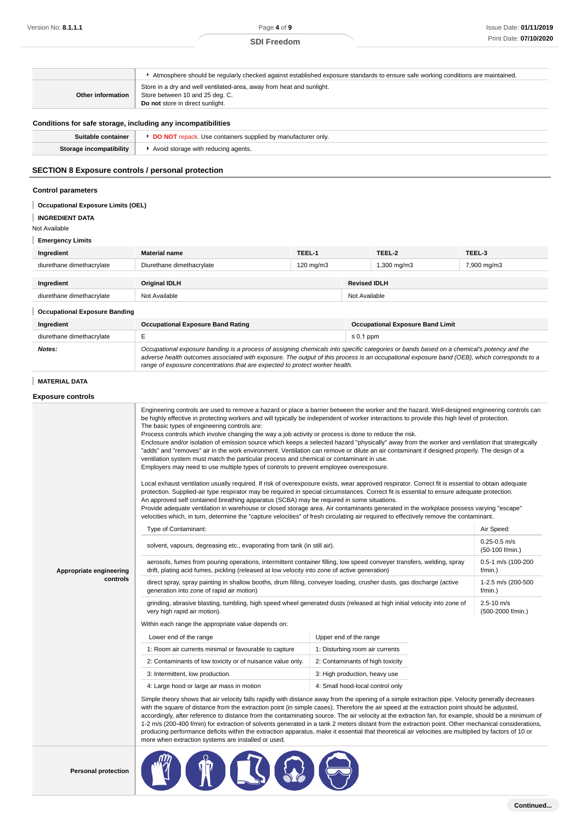|                                                              | Atmosphere should be regularly checked against established exposure standards to ensure safe working conditions are maintained.                                                                                                                                                                                                                                                                                                                                                                                                                                                                                                                                                                                                                                                                                                                                                                                                                                                                                                                                                                                                                                                                                                                                                                                                                                                                                                                                                                                                                                                                                                     |           |                     |                                         |                                     |
|--------------------------------------------------------------|-------------------------------------------------------------------------------------------------------------------------------------------------------------------------------------------------------------------------------------------------------------------------------------------------------------------------------------------------------------------------------------------------------------------------------------------------------------------------------------------------------------------------------------------------------------------------------------------------------------------------------------------------------------------------------------------------------------------------------------------------------------------------------------------------------------------------------------------------------------------------------------------------------------------------------------------------------------------------------------------------------------------------------------------------------------------------------------------------------------------------------------------------------------------------------------------------------------------------------------------------------------------------------------------------------------------------------------------------------------------------------------------------------------------------------------------------------------------------------------------------------------------------------------------------------------------------------------------------------------------------------------|-----------|---------------------|-----------------------------------------|-------------------------------------|
| Other information                                            | Store in a dry and well ventilated-area, away from heat and sunlight.<br>Store between 10 and 25 deg. C.<br>Do not store in direct sunlight.                                                                                                                                                                                                                                                                                                                                                                                                                                                                                                                                                                                                                                                                                                                                                                                                                                                                                                                                                                                                                                                                                                                                                                                                                                                                                                                                                                                                                                                                                        |           |                     |                                         |                                     |
| Conditions for safe storage, including any incompatibilities |                                                                                                                                                                                                                                                                                                                                                                                                                                                                                                                                                                                                                                                                                                                                                                                                                                                                                                                                                                                                                                                                                                                                                                                                                                                                                                                                                                                                                                                                                                                                                                                                                                     |           |                     |                                         |                                     |
| Suitable container                                           | DO NOT repack. Use containers supplied by manufacturer only.                                                                                                                                                                                                                                                                                                                                                                                                                                                                                                                                                                                                                                                                                                                                                                                                                                                                                                                                                                                                                                                                                                                                                                                                                                                                                                                                                                                                                                                                                                                                                                        |           |                     |                                         |                                     |
| <b>Storage incompatibility</b>                               | Avoid storage with reducing agents.                                                                                                                                                                                                                                                                                                                                                                                                                                                                                                                                                                                                                                                                                                                                                                                                                                                                                                                                                                                                                                                                                                                                                                                                                                                                                                                                                                                                                                                                                                                                                                                                 |           |                     |                                         |                                     |
| SECTION 8 Exposure controls / personal protection            |                                                                                                                                                                                                                                                                                                                                                                                                                                                                                                                                                                                                                                                                                                                                                                                                                                                                                                                                                                                                                                                                                                                                                                                                                                                                                                                                                                                                                                                                                                                                                                                                                                     |           |                     |                                         |                                     |
| <b>Control parameters</b>                                    |                                                                                                                                                                                                                                                                                                                                                                                                                                                                                                                                                                                                                                                                                                                                                                                                                                                                                                                                                                                                                                                                                                                                                                                                                                                                                                                                                                                                                                                                                                                                                                                                                                     |           |                     |                                         |                                     |
| <b>Occupational Exposure Limits (OEL)</b>                    |                                                                                                                                                                                                                                                                                                                                                                                                                                                                                                                                                                                                                                                                                                                                                                                                                                                                                                                                                                                                                                                                                                                                                                                                                                                                                                                                                                                                                                                                                                                                                                                                                                     |           |                     |                                         |                                     |
| <b>INGREDIENT DATA</b>                                       |                                                                                                                                                                                                                                                                                                                                                                                                                                                                                                                                                                                                                                                                                                                                                                                                                                                                                                                                                                                                                                                                                                                                                                                                                                                                                                                                                                                                                                                                                                                                                                                                                                     |           |                     |                                         |                                     |
| Not Available                                                |                                                                                                                                                                                                                                                                                                                                                                                                                                                                                                                                                                                                                                                                                                                                                                                                                                                                                                                                                                                                                                                                                                                                                                                                                                                                                                                                                                                                                                                                                                                                                                                                                                     |           |                     |                                         |                                     |
| <b>Emergency Limits</b>                                      |                                                                                                                                                                                                                                                                                                                                                                                                                                                                                                                                                                                                                                                                                                                                                                                                                                                                                                                                                                                                                                                                                                                                                                                                                                                                                                                                                                                                                                                                                                                                                                                                                                     |           |                     |                                         |                                     |
| Ingredient                                                   | Material name                                                                                                                                                                                                                                                                                                                                                                                                                                                                                                                                                                                                                                                                                                                                                                                                                                                                                                                                                                                                                                                                                                                                                                                                                                                                                                                                                                                                                                                                                                                                                                                                                       | TEEL-1    |                     | TEEL-2                                  | TEEL-3                              |
| diurethane dimethacrylate                                    | Diurethane dimethacrylate                                                                                                                                                                                                                                                                                                                                                                                                                                                                                                                                                                                                                                                                                                                                                                                                                                                                                                                                                                                                                                                                                                                                                                                                                                                                                                                                                                                                                                                                                                                                                                                                           | 120 mg/m3 |                     | 1,300 mg/m3                             | 7,900 mg/m3                         |
| Ingredient                                                   | Original IDLH                                                                                                                                                                                                                                                                                                                                                                                                                                                                                                                                                                                                                                                                                                                                                                                                                                                                                                                                                                                                                                                                                                                                                                                                                                                                                                                                                                                                                                                                                                                                                                                                                       |           | <b>Revised IDLH</b> |                                         |                                     |
| diurethane dimethacrylate                                    | Not Available                                                                                                                                                                                                                                                                                                                                                                                                                                                                                                                                                                                                                                                                                                                                                                                                                                                                                                                                                                                                                                                                                                                                                                                                                                                                                                                                                                                                                                                                                                                                                                                                                       |           | Not Available       |                                         |                                     |
|                                                              |                                                                                                                                                                                                                                                                                                                                                                                                                                                                                                                                                                                                                                                                                                                                                                                                                                                                                                                                                                                                                                                                                                                                                                                                                                                                                                                                                                                                                                                                                                                                                                                                                                     |           |                     |                                         |                                     |
| <b>Occupational Exposure Banding</b>                         |                                                                                                                                                                                                                                                                                                                                                                                                                                                                                                                                                                                                                                                                                                                                                                                                                                                                                                                                                                                                                                                                                                                                                                                                                                                                                                                                                                                                                                                                                                                                                                                                                                     |           |                     |                                         |                                     |
| Ingredient                                                   | <b>Occupational Exposure Band Rating</b><br>Ε                                                                                                                                                                                                                                                                                                                                                                                                                                                                                                                                                                                                                                                                                                                                                                                                                                                                                                                                                                                                                                                                                                                                                                                                                                                                                                                                                                                                                                                                                                                                                                                       |           |                     | <b>Occupational Exposure Band Limit</b> |                                     |
| diurethane dimethacrylate<br>Notes:                          | Occupational exposure banding is a process of assigning chemicals into specific categories or bands based on a chemical's potency and the                                                                                                                                                                                                                                                                                                                                                                                                                                                                                                                                                                                                                                                                                                                                                                                                                                                                                                                                                                                                                                                                                                                                                                                                                                                                                                                                                                                                                                                                                           |           | $\leq 0.1$ ppm      |                                         |                                     |
|                                                              | adverse health outcomes associated with exposure. The output of this process is an occupational exposure band (OEB), which corresponds to a<br>range of exposure concentrations that are expected to protect worker health.                                                                                                                                                                                                                                                                                                                                                                                                                                                                                                                                                                                                                                                                                                                                                                                                                                                                                                                                                                                                                                                                                                                                                                                                                                                                                                                                                                                                         |           |                     |                                         |                                     |
| <b>MATERIAL DATA</b>                                         |                                                                                                                                                                                                                                                                                                                                                                                                                                                                                                                                                                                                                                                                                                                                                                                                                                                                                                                                                                                                                                                                                                                                                                                                                                                                                                                                                                                                                                                                                                                                                                                                                                     |           |                     |                                         |                                     |
| <b>Exposure controls</b>                                     |                                                                                                                                                                                                                                                                                                                                                                                                                                                                                                                                                                                                                                                                                                                                                                                                                                                                                                                                                                                                                                                                                                                                                                                                                                                                                                                                                                                                                                                                                                                                                                                                                                     |           |                     |                                         |                                     |
|                                                              | Engineering controls are used to remove a hazard or place a barrier between the worker and the hazard. Well-designed engineering controls can<br>be highly effective in protecting workers and will typically be independent of worker interactions to provide this high level of protection.<br>The basic types of engineering controls are:<br>Process controls which involve changing the way a job activity or process is done to reduce the risk.<br>Enclosure and/or isolation of emission source which keeps a selected hazard "physically" away from the worker and ventilation that strategically<br>"adds" and "removes" air in the work environment. Ventilation can remove or dilute an air contaminant if designed properly. The design of a<br>ventilation system must match the particular process and chemical or contaminant in use.<br>Employers may need to use multiple types of controls to prevent employee overexposure.<br>Local exhaust ventilation usually required. If risk of overexposure exists, wear approved respirator. Correct fit is essential to obtain adequate<br>protection. Supplied-air type respirator may be required in special circumstances. Correct fit is essential to ensure adequate protection.<br>An approved self contained breathing apparatus (SCBA) may be required in some situations.<br>Provide adequate ventilation in warehouse or closed storage area. Air contaminants generated in the workplace possess varying "escape"<br>velocities which, in turn, determine the "capture velocities" of fresh circulating air required to effectively remove the contaminant. |           |                     |                                         |                                     |
|                                                              | Type of Contaminant:                                                                                                                                                                                                                                                                                                                                                                                                                                                                                                                                                                                                                                                                                                                                                                                                                                                                                                                                                                                                                                                                                                                                                                                                                                                                                                                                                                                                                                                                                                                                                                                                                |           |                     | Air Speed:                              |                                     |
|                                                              | solvent, vapours, degreasing etc., evaporating from tank (in still air).                                                                                                                                                                                                                                                                                                                                                                                                                                                                                                                                                                                                                                                                                                                                                                                                                                                                                                                                                                                                                                                                                                                                                                                                                                                                                                                                                                                                                                                                                                                                                            |           |                     | $0.25 - 0.5$ m/s                        |                                     |
|                                                              |                                                                                                                                                                                                                                                                                                                                                                                                                                                                                                                                                                                                                                                                                                                                                                                                                                                                                                                                                                                                                                                                                                                                                                                                                                                                                                                                                                                                                                                                                                                                                                                                                                     |           |                     | (50-100 f/min.)                         |                                     |
| Appropriate engineering                                      | aerosols, fumes from pouring operations, intermittent container filling, low speed conveyer transfers, welding, spray<br>drift, plating acid fumes, pickling (released at low velocity into zone of active generation)                                                                                                                                                                                                                                                                                                                                                                                                                                                                                                                                                                                                                                                                                                                                                                                                                                                                                                                                                                                                                                                                                                                                                                                                                                                                                                                                                                                                              |           |                     | 0.5-1 m/s (100-200<br>f/min.)           |                                     |
| controls                                                     | direct spray, spray painting in shallow booths, drum filling, conveyer loading, crusher dusts, gas discharge (active<br>generation into zone of rapid air motion)                                                                                                                                                                                                                                                                                                                                                                                                                                                                                                                                                                                                                                                                                                                                                                                                                                                                                                                                                                                                                                                                                                                                                                                                                                                                                                                                                                                                                                                                   |           |                     | 1-2.5 m/s (200-500<br>f/min.)           |                                     |
|                                                              | grinding, abrasive blasting, tumbling, high speed wheel generated dusts (released at high initial velocity into zone of<br>very high rapid air motion).                                                                                                                                                                                                                                                                                                                                                                                                                                                                                                                                                                                                                                                                                                                                                                                                                                                                                                                                                                                                                                                                                                                                                                                                                                                                                                                                                                                                                                                                             |           |                     |                                         | $2.5 - 10$ m/s<br>(500-2000 f/min.) |
|                                                              | Within each range the appropriate value depends on:                                                                                                                                                                                                                                                                                                                                                                                                                                                                                                                                                                                                                                                                                                                                                                                                                                                                                                                                                                                                                                                                                                                                                                                                                                                                                                                                                                                                                                                                                                                                                                                 |           |                     |                                         |                                     |
|                                                              | Upper end of the range<br>Lower end of the range                                                                                                                                                                                                                                                                                                                                                                                                                                                                                                                                                                                                                                                                                                                                                                                                                                                                                                                                                                                                                                                                                                                                                                                                                                                                                                                                                                                                                                                                                                                                                                                    |           |                     |                                         |                                     |
|                                                              | 1: Room air currents minimal or favourable to capture<br>1: Disturbing room air currents                                                                                                                                                                                                                                                                                                                                                                                                                                                                                                                                                                                                                                                                                                                                                                                                                                                                                                                                                                                                                                                                                                                                                                                                                                                                                                                                                                                                                                                                                                                                            |           |                     |                                         |                                     |
|                                                              | 2: Contaminants of low toxicity or of nuisance value only.<br>2: Contaminants of high toxicity                                                                                                                                                                                                                                                                                                                                                                                                                                                                                                                                                                                                                                                                                                                                                                                                                                                                                                                                                                                                                                                                                                                                                                                                                                                                                                                                                                                                                                                                                                                                      |           |                     |                                         |                                     |
|                                                              | 3: Intermittent, low production.<br>3: High production, heavy use                                                                                                                                                                                                                                                                                                                                                                                                                                                                                                                                                                                                                                                                                                                                                                                                                                                                                                                                                                                                                                                                                                                                                                                                                                                                                                                                                                                                                                                                                                                                                                   |           |                     |                                         |                                     |
|                                                              | 4: Large hood or large air mass in motion<br>4: Small hood-local control only                                                                                                                                                                                                                                                                                                                                                                                                                                                                                                                                                                                                                                                                                                                                                                                                                                                                                                                                                                                                                                                                                                                                                                                                                                                                                                                                                                                                                                                                                                                                                       |           |                     |                                         |                                     |
|                                                              | Simple theory shows that air velocity falls rapidly with distance away from the opening of a simple extraction pipe. Velocity generally decreases<br>with the square of distance from the extraction point (in simple cases). Therefore the air speed at the extraction point should be adjusted,<br>accordingly, after reference to distance from the contaminating source. The air velocity at the extraction fan, for example, should be a minimum of<br>1-2 m/s (200-400 f/min) for extraction of solvents generated in a tank 2 meters distant from the extraction point. Other mechanical considerations,<br>producing performance deficits within the extraction apparatus, make it essential that theoretical air velocities are multiplied by factors of 10 or<br>more when extraction systems are installed or used.                                                                                                                                                                                                                                                                                                                                                                                                                                                                                                                                                                                                                                                                                                                                                                                                      |           |                     |                                         |                                     |

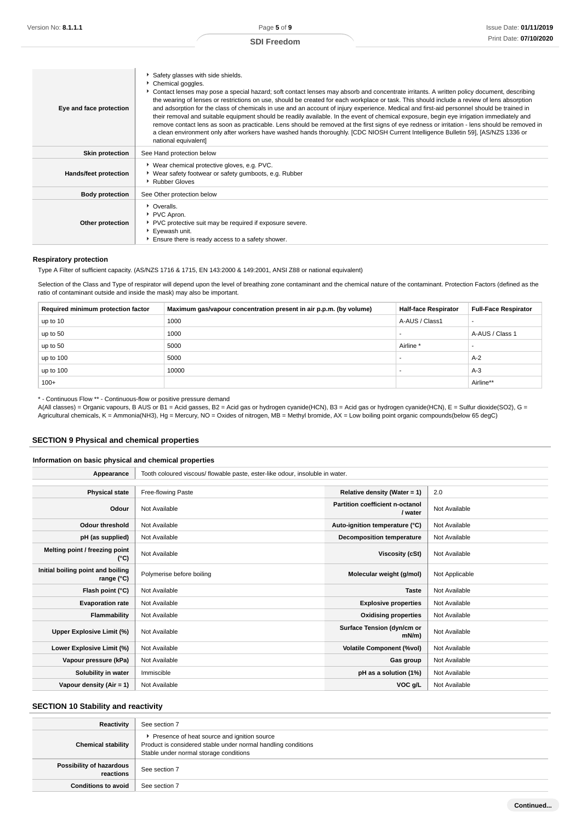| Eye and face protection | Safety glasses with side shields.<br>Chemical goggles.<br>Contact lenses may pose a special hazard; soft contact lenses may absorb and concentrate irritants. A written policy document, describing<br>the wearing of lenses or restrictions on use, should be created for each workplace or task. This should include a review of lens absorption<br>and adsorption for the class of chemicals in use and an account of injury experience. Medical and first-aid personnel should be trained in<br>their removal and suitable equipment should be readily available. In the event of chemical exposure, begin eye irrigation immediately and<br>remove contact lens as soon as practicable. Lens should be removed at the first signs of eye redness or irritation - lens should be removed in<br>a clean environment only after workers have washed hands thoroughly. [CDC NIOSH Current Intelligence Bulletin 59], [AS/NZS 1336 or<br>national equivalent] |
|-------------------------|---------------------------------------------------------------------------------------------------------------------------------------------------------------------------------------------------------------------------------------------------------------------------------------------------------------------------------------------------------------------------------------------------------------------------------------------------------------------------------------------------------------------------------------------------------------------------------------------------------------------------------------------------------------------------------------------------------------------------------------------------------------------------------------------------------------------------------------------------------------------------------------------------------------------------------------------------------------|
| <b>Skin protection</b>  | See Hand protection below                                                                                                                                                                                                                                                                                                                                                                                                                                                                                                                                                                                                                                                                                                                                                                                                                                                                                                                                     |
| Hands/feet protection   | ▶ Wear chemical protective gloves, e.g. PVC.<br>▶ Wear safety footwear or safety gumboots, e.g. Rubber<br>Rubber Gloves                                                                                                                                                                                                                                                                                                                                                                                                                                                                                                                                                                                                                                                                                                                                                                                                                                       |
| <b>Body protection</b>  | See Other protection below                                                                                                                                                                                                                                                                                                                                                                                                                                                                                                                                                                                                                                                                                                                                                                                                                                                                                                                                    |
| Other protection        | • Overalls.<br>PVC Apron.<br>▶ PVC protective suit may be required if exposure severe.<br>Eyewash unit.<br>Ensure there is ready access to a safety shower.                                                                                                                                                                                                                                                                                                                                                                                                                                                                                                                                                                                                                                                                                                                                                                                                   |

#### **Respiratory protection**

Type A Filter of sufficient capacity. (AS/NZS 1716 & 1715, EN 143:2000 & 149:2001, ANSI Z88 or national equivalent)

Selection of the Class and Type of respirator will depend upon the level of breathing zone contaminant and the chemical nature of the contaminant. Protection Factors (defined as the ratio of contaminant outside and inside the mask) may also be important.

| Required minimum protection factor | Maximum gas/vapour concentration present in air p.p.m. (by volume) | <b>Half-face Respirator</b> | <b>Full-Face Respirator</b> |
|------------------------------------|--------------------------------------------------------------------|-----------------------------|-----------------------------|
| up to 10                           | 1000                                                               | A-AUS / Class1              |                             |
| up to 50                           | 1000                                                               |                             | A-AUS / Class 1             |
| up to 50                           | 5000                                                               | Airline                     |                             |
| up to 100                          | 5000                                                               |                             | $A-2$                       |
| up to $100$                        | 10000                                                              |                             | $A-3$                       |
| $100+$                             |                                                                    |                             | Airline**                   |

\* - Continuous Flow \*\* - Continuous-flow or positive pressure demand

A(All classes) = Organic vapours, B AUS or B1 = Acid gasses, B2 = Acid gas or hydrogen cyanide(HCN), B3 = Acid gas or hydrogen cyanide(HCN), E = Sulfur dioxide(SO2), G = Agricultural chemicals, K = Ammonia(NH3), Hg = Mercury, NO = Oxides of nitrogen, MB = Methyl bromide, AX = Low boiling point organic compounds(below 65 degC)

## **SECTION 9 Physical and chemical properties**

#### **Information on basic physical and chemical properties**

| Appearance                                      | Tooth coloured viscous/ flowable paste, ester-like odour, insoluble in water. |                                            |                |
|-------------------------------------------------|-------------------------------------------------------------------------------|--------------------------------------------|----------------|
|                                                 |                                                                               |                                            |                |
| <b>Physical state</b>                           | Free-flowing Paste                                                            | Relative density (Water = $1$ )            | 2.0            |
| Odour                                           | Not Available                                                                 | Partition coefficient n-octanol<br>/ water | Not Available  |
| <b>Odour threshold</b>                          | Not Available                                                                 | Auto-ignition temperature (°C)             | Not Available  |
| pH (as supplied)                                | Not Available                                                                 | Decomposition temperature                  | Not Available  |
| Melting point / freezing point<br>(°C)          | Not Available                                                                 | Viscosity (cSt)                            | Not Available  |
| Initial boiling point and boiling<br>range (°C) | Polymerise before boiling                                                     | Molecular weight (g/mol)                   | Not Applicable |
| Flash point (°C)                                | Not Available                                                                 | <b>Taste</b>                               | Not Available  |
| <b>Evaporation rate</b>                         | Not Available                                                                 | <b>Explosive properties</b>                | Not Available  |
| Flammability                                    | Not Available                                                                 | <b>Oxidising properties</b>                | Not Available  |
| Upper Explosive Limit (%)                       | Not Available                                                                 | Surface Tension (dyn/cm or<br>$mN/m$ )     | Not Available  |
| Lower Explosive Limit (%)                       | Not Available                                                                 | <b>Volatile Component (%vol)</b>           | Not Available  |
| Vapour pressure (kPa)                           | Not Available                                                                 | Gas group                                  | Not Available  |
| Solubility in water                             | Immiscible                                                                    | pH as a solution (1%)                      | Not Available  |
| Vapour density (Air = 1)                        | Not Available                                                                 | VOC g/L                                    | Not Available  |

## **SECTION 10 Stability and reactivity**

| Reactivity                            | See section 7                                                                                                                                            |
|---------------------------------------|----------------------------------------------------------------------------------------------------------------------------------------------------------|
| <b>Chemical stability</b>             | ▶ Presence of heat source and ignition source<br>Product is considered stable under normal handling conditions<br>Stable under normal storage conditions |
| Possibility of hazardous<br>reactions | See section 7                                                                                                                                            |
| <b>Conditions to avoid</b>            | See section 7                                                                                                                                            |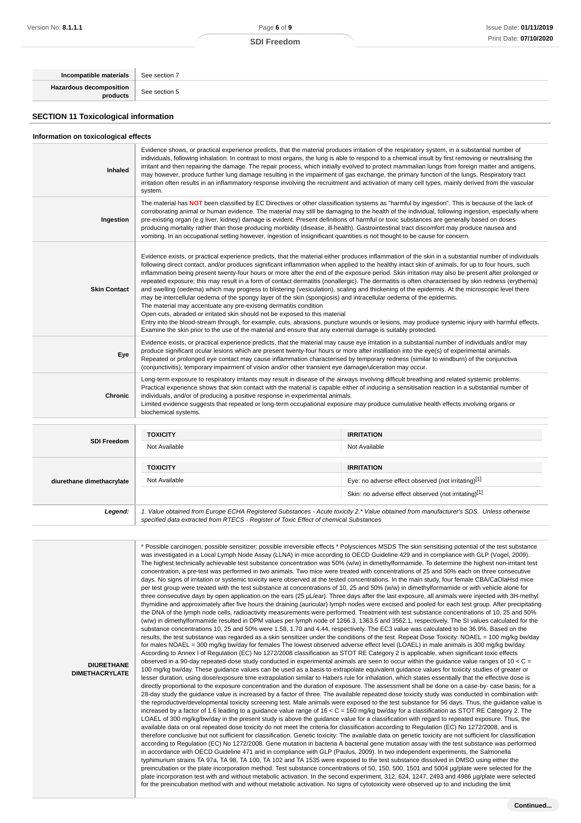| Incompatible materials                      | See section 7 |
|---------------------------------------------|---------------|
| Hazardous decomposition                     | See section 5 |
| <b>SECTION 11 Toxicological information</b> |               |

### **Information on toxicological effects**

| Inhaled                   | Evidence shows, or practical experience predicts, that the material produces irritation of the respiratory system, in a substantial number of<br>individuals, following inhalation. In contrast to most organs, the lung is able to respond to a chemical insult by first removing or neutralising the<br>irritant and then repairing the damage. The repair process, which initially evolved to protect mammalian lungs from foreign matter and antigens,<br>may however, produce further lung damage resulting in the impairment of gas exchange, the primary function of the lungs. Respiratory tract<br>irritation often results in an inflammatory response involving the recruitment and activation of many cell types, mainly derived from the vascular<br>system.                                                                                                                                                                                                                                                                                                                                                                                                                                                                                                                                             |                                                                                                                                        |  |  |
|---------------------------|-----------------------------------------------------------------------------------------------------------------------------------------------------------------------------------------------------------------------------------------------------------------------------------------------------------------------------------------------------------------------------------------------------------------------------------------------------------------------------------------------------------------------------------------------------------------------------------------------------------------------------------------------------------------------------------------------------------------------------------------------------------------------------------------------------------------------------------------------------------------------------------------------------------------------------------------------------------------------------------------------------------------------------------------------------------------------------------------------------------------------------------------------------------------------------------------------------------------------------------------------------------------------------------------------------------------------|----------------------------------------------------------------------------------------------------------------------------------------|--|--|
| Ingestion                 | The material has NOT been classified by EC Directives or other classification systems as "harmful by ingestion". This is because of the lack of<br>corroborating animal or human evidence. The material may still be damaging to the health of the individual, following ingestion, especially where<br>pre-existing organ (e.g liver, kidney) damage is evident. Present definitions of harmful or toxic substances are generally based on doses<br>producing mortality rather than those producing morbidity (disease, ill-health). Gastrointestinal tract discomfort may produce nausea and<br>vomiting. In an occupational setting however, ingestion of insignificant quantities is not thought to be cause for concern.                                                                                                                                                                                                                                                                                                                                                                                                                                                                                                                                                                                         |                                                                                                                                        |  |  |
| <b>Skin Contact</b>       | Evidence exists, or practical experience predicts, that the material either produces inflammation of the skin in a substantial number of individuals<br>following direct contact, and/or produces significant inflammation when applied to the healthy intact skin of animals, for up to four hours, such<br>inflammation being present twenty-four hours or more after the end of the exposure period. Skin irritation may also be present after prolonged or<br>repeated exposure; this may result in a form of contact dermatitis (nonallergic). The dermatitis is often characterised by skin redness (erythema)<br>and swelling (oedema) which may progress to blistering (vesiculation), scaling and thickening of the epidermis. At the microscopic level there<br>may be intercellular oedema of the spongy layer of the skin (spongiosis) and intracellular oedema of the epidermis.<br>The material may accentuate any pre-existing dermatitis condition<br>Open cuts, abraded or irritated skin should not be exposed to this material<br>Entry into the blood-stream through, for example, cuts, abrasions, puncture wounds or lesions, may produce systemic injury with harmful effects.<br>Examine the skin prior to the use of the material and ensure that any external damage is suitably protected. |                                                                                                                                        |  |  |
| Eye                       | Evidence exists, or practical experience predicts, that the material may cause eye irritation in a substantial number of individuals and/or may<br>produce significant ocular lesions which are present twenty-four hours or more after instillation into the eye(s) of experimental animals.<br>Repeated or prolonged eye contact may cause inflammation characterised by temporary redness (similar to windburn) of the conjunctiva<br>(conjunctivitis); temporary impairment of vision and/or other transient eye damage/ulceration may occur.                                                                                                                                                                                                                                                                                                                                                                                                                                                                                                                                                                                                                                                                                                                                                                     |                                                                                                                                        |  |  |
| Chronic                   | Long-term exposure to respiratory irritants may result in disease of the airways involving difficult breathing and related systemic problems.<br>Practical experience shows that skin contact with the material is capable either of inducing a sensitisation reaction in a substantial number of<br>individuals, and/or of producing a positive response in experimental animals.<br>Limited evidence suggests that repeated or long-term occupational exposure may produce cumulative health effects involving organs or<br>biochemical systems.                                                                                                                                                                                                                                                                                                                                                                                                                                                                                                                                                                                                                                                                                                                                                                    |                                                                                                                                        |  |  |
|                           | <b>TOXICITY</b>                                                                                                                                                                                                                                                                                                                                                                                                                                                                                                                                                                                                                                                                                                                                                                                                                                                                                                                                                                                                                                                                                                                                                                                                                                                                                                       | <b>IRRITATION</b>                                                                                                                      |  |  |
| <b>SDI Freedom</b>        | Not Available                                                                                                                                                                                                                                                                                                                                                                                                                                                                                                                                                                                                                                                                                                                                                                                                                                                                                                                                                                                                                                                                                                                                                                                                                                                                                                         | Not Available                                                                                                                          |  |  |
|                           | <b>TOXICITY</b>                                                                                                                                                                                                                                                                                                                                                                                                                                                                                                                                                                                                                                                                                                                                                                                                                                                                                                                                                                                                                                                                                                                                                                                                                                                                                                       | <b>IRRITATION</b>                                                                                                                      |  |  |
| diurethane dimethacrylate | Not Available                                                                                                                                                                                                                                                                                                                                                                                                                                                                                                                                                                                                                                                                                                                                                                                                                                                                                                                                                                                                                                                                                                                                                                                                                                                                                                         | Eye: no adverse effect observed (not irritating)[1]                                                                                    |  |  |
|                           |                                                                                                                                                                                                                                                                                                                                                                                                                                                                                                                                                                                                                                                                                                                                                                                                                                                                                                                                                                                                                                                                                                                                                                                                                                                                                                                       | Skin: no adverse effect observed (not irritating)[1]                                                                                   |  |  |
| Legend:                   | specified data extracted from RTECS - Register of Toxic Effect of chemical Substances                                                                                                                                                                                                                                                                                                                                                                                                                                                                                                                                                                                                                                                                                                                                                                                                                                                                                                                                                                                                                                                                                                                                                                                                                                 | 1. Value obtained from Europe ECHA Registered Substances - Acute toxicity 2.* Value obtained from manufacturer's SDS. Unless otherwise |  |  |

**DIURETHANE DIMETHACRYLATE** \* Possible carcinogen; possible sensitizer; possible irreversible effects \* Polysciences MSDS The skin sensitising potential of the test substance was investigated in a Local Lymph Node Assay (LLNA) in mice according to OECD Guideline 429 and in compliance with GLP (Vogel, 2009). The highest technically achievable test substance concentration was 50% (w/w) in dimethylformamide. To determine the highest non-irritant test concentration, a pre-test was performed in two animals. Two mice were treated with concentrations of 25 and 50% each on three consecutive days. No signs of irritation or systemic toxicity were observed at the tested concentrations. In the main study, four female CBA/CaOlaHsd mice per test group were treated with the test substance at concentrations of 10, 25 and 50% (w/w) in dimethylformamide or with vehicle alone for three consecutive days by open application on the ears (25 µL/ear). Three days after the last exposure, all animals were injected with 3H-methyl thymidine and approximately after five hours the draining (auricular) lymph nodes were excised and pooled for each test group. After precipitating the DNA of the lymph node cells, radioactivity measurements were performed. Treatment with test substance concentrations of 10, 25 and 50% (w/w) in dimethylformamide resulted in DPM values per lymph node of 1266.3, 1363.5 and 3562.1, respectively. The SI values calculated for the substance concentrations 10, 25 and 50% were 1.58, 1.70 and 4.44, respectively. The EC3 value was calculated to be 36.9%. Based on the results, the test substance was regarded as a skin sensitizer under the conditions of the test. Repeat Dose Toxicity: NOAEL = 100 mg/kg bw/day for males NOAEL = 300 mg/kg bw/day for females The lowest observed adverse effect level (LOAEL) in male animals is 300 mg/kg bw/day. According to Annex I of Regulation (EC) No 1272/2008 classification as STOT RE Category 2 is applicable, when significant toxic effects observed in a 90-day repeated-dose study conducted in experimental animals are seen to occur within the guidance value ranges of 10 <  $C =$ 100 mg/kg bw/day. These guidance values can be used as a basis to extrapolate equivalent guidance values for toxicity studies of greater or lesser duration, using dose/exposure time extrapolation similar to Habers rule for inhalation, which states essentially that the effective dose is directly proportional to the exposure concentration and the duration of exposure. The assessment shall be done on a case-by- case basis; for a 28-day study the quidance value is increased by a factor of three. The available repeated dose toxicity study was conducted in combination with the reproductive/developmental toxicity screening test. Male animals were exposed to the test substance for 56 days. Thus, the guidance value is increased by a factor of 1.6 leading to a guidance value range of 16 < C = 160 mg/kg bw/day for a classification as STOT RE Category 2. The LOAEL of 300 mg/kg/bw/day in the present study is above the guidance value for a classification with regard to repeated exposure. Thus, the available data on oral repeated dose toxicity do not meet the criteria for classification according to Regulation (EC) No 1272/2008, and is therefore conclusive but not sufficient for classification. Genetic toxicity: The available data on genetic toxicity are not sufficient for classification according to Regulation (EC) No 1272/2008. Gene mutation in bacteria A bacterial gene mutation assay with the test substance was performed in accordance with OECD Guideline 471 and in compliance with GLP (Paulus, 2009). In two independent experiments, the Salmonella typhimurium strains TA 97a, TA 98, TA 100, TA 102 and TA 1535 were exposed to the test substance dissolved in DMSO using either the preincubation or the plate incorporation method. Test substance concentrations of 50, 150, 500, 1501 and 5004 µg/plate were selected for the plate incorporation test with and without metabolic activation. In the second experiment, 312, 624, 1247, 2493 and 4986 µg/plate were selected for the preincubation method with and without metabolic activation. No signs of cytotoxicity were observed up to and including the limit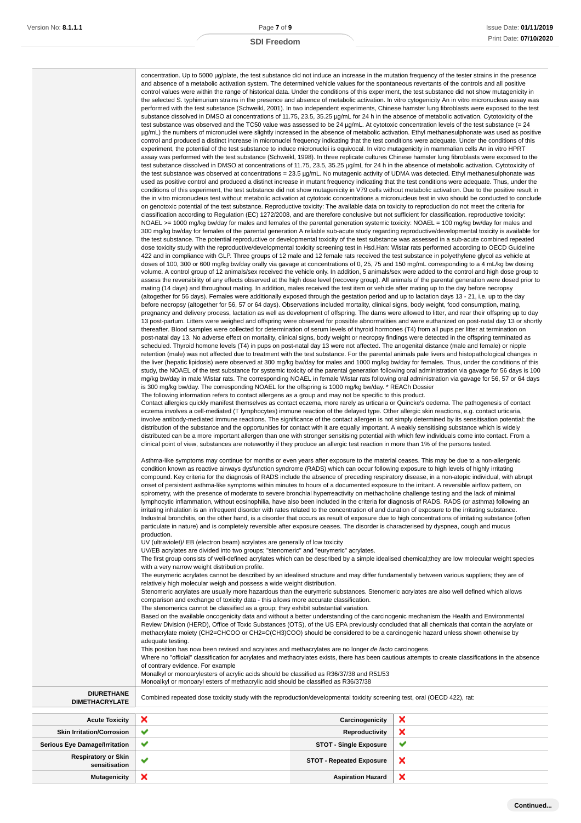| concentration. Up to 5000 µg/plate, the test substance did not induce an increase in the mutation frequency of the tester strains in the presence<br>and absence of a metabolic activation system. The determined vehicle values for the spontaneous revertants of the controls and all positive<br>control values were within the range of historical data. Under the conditions of this experiment, the test substance did not show mutagenicity in<br>the selected S. typhimurium strains in the presence and absence of metabolic activation. In vitro cytogenicity An in vitro micronucleus assay was<br>performed with the test substance (Schweikl, 2001). In two independent experiments, Chinese hamster lung fibroblasts were exposed to the test<br>substance dissolved in DMSO at concentrations of 11.75, 23.5, 35.25 µg/mL for 24 h in the absence of metabolic activation. Cytotoxicity of the<br>test substance was observed and the TC50 value was assessed to be 24 $\mu$ g/mL. At cytotoxic concentration levels of the test substance (= 24<br>ug/mL) the numbers of micronuclei were slightly increased in the absence of metabolic activation. Ethyl methanesulphonate was used as positive<br>control and produced a distinct increase in micronuclei frequency indicating that the test conditions were adequate. Under the conditions of this<br>experiment, the potential of the test substance to induce micronuclei is equivocal. In vitro mutagenicity in mammalian cells An in vitro HPRT<br>assay was performed with the test substance (Schweikl, 1998). In three replicate cultures Chinese hamster lung fibroblasts were exposed to the<br>test substance dissolved in DMSO at concentrations of 11.75, 23.5, 35.25 µg/mL for 24 h in the absence of metabolic activation. Cytotoxicity of<br>the test substance was observed at concentrations = 23.5 µg/mL. No mutagenic activity of UDMA was detected. Ethyl methanesulphonate was<br>used as positive control and produced a distinct increase in mutant frequency indicating that the test conditions were adequate. Thus, under the<br>conditions of this experiment, the test substance did not show mutagenicity in V79 cells without metabolic activation. Due to the positive result in<br>the in vitro micronucleus test without metabolic activation at cytotoxic concentrations a micronucleus test in vivo should be conducted to conclude<br>on genotoxic potential of the test substance. Reproductive toxicity: The available data on toxicity to reproduction do not meet the criteria for<br>classification according to Regulation (EC) 1272/2008, and are therefore conclusive but not sufficient for classification. reproductive toxicity:<br>NOAEL >= 1000 mg/kg bw/day for males and females of the parental generation systemic toxicity: NOAEL = 100 mg/kg bw/day for males and<br>300 mg/kg bw/day for females of the parental generation A reliable sub-acute study regarding reproductive/developmental toxicity is available for<br>the test substance. The potential reproductive or developmental toxicity of the test substance was assessed in a sub-acute combined repeated<br>dose toxicity study with the reproductive/developmental toxicity screening test in Hsd.Han: Wistar rats performed according to OECD Guideline<br>422 and in compliance with GLP. Three groups of 12 male and 12 female rats received the test substance in polyethylene glycol as vehicle at<br>doses of 100, 300 or 600 mg/kg bw/day orally via gavage at concentrations of 0, 25, 75 and 150 mg/mL corresponding to a 4 mL/kg bw dosing<br>volume. A control group of 12 animals/sex received the vehicle only. In addition, 5 animals/sex were added to the control and high dose group to<br>assess the reversibility of any effects observed at the high dose level (recovery group). All animals of the parental generation were dosed prior to<br>mating (14 days) and throughout mating. In addition, males received the test item or vehicle after mating up to the day before necropsy<br>(altogether for 56 days). Females were additionally exposed through the gestation period and up to lactation days 13 - 21, i.e. up to the day<br>before necropsy (altogether for 56, 57 or 64 days). Observations included mortality, clinical signs, body weight, food consumption, mating,<br>pregnancy and delivery process, lactation as well as development of offspring. The dams were allowed to litter, and rear their offspring up to day<br>13 post-partum. Litters were weighed and offspring were observed for possible abnormalities and were euthanized on post-natal day 13 or shortly<br>thereafter. Blood samples were collected for determination of serum levels of thyroid hormones (T4) from all pups per litter at termination on<br>post-natal day 13. No adverse effect on mortality, clinical signs, body weight or necropsy findings were detected in the offspring terminated as<br>scheduled. Thyroid homone levels (T4) in pups on post-natal day 13 were not affected. The anogenital distance (male and female) or nipple<br>retention (male) was not affected due to treatment with the test substance. For the parental animals pale livers and histopathological changes in<br>the liver (hepatic lipidosis) were observed at 300 mg/kg bw/day for males and 1000 mg/kg bw/day for females. Thus, under the conditions of this<br>study, the NOAEL of the test substance for systemic toxicity of the parental generation following oral administration via gavage for 56 days is 100<br>mg/kg bw/day in male Wistar rats. The corresponding NOAEL in female Wistar rats following oral administration via gavage for 56, 57 or 64 days<br>is 300 mg/kg bw/day. The corresponding NOAEL for the offspring is 1000 mg/kg bw/day. * REACh Dossier<br>The following information refers to contact allergens as a group and may not be specific to this product.<br>Contact allergies quickly manifest themselves as contact eczema, more rarely as urticaria or Quincke's oedema. The pathogenesis of contact<br>eczema involves a cell-mediated (T lymphocytes) immune reaction of the delayed type. Other allergic skin reactions, e.g. contact urticaria,<br>involve antibody-mediated immune reactions. The significance of the contact allergen is not simply determined by its sensitisation potential: the<br>distribution of the substance and the opportunities for contact with it are equally important. A weakly sensitising substance which is widely<br>distributed can be a more important allergen than one with stronger sensitising potential with which few individuals come into contact. From a |
|--------------------------------------------------------------------------------------------------------------------------------------------------------------------------------------------------------------------------------------------------------------------------------------------------------------------------------------------------------------------------------------------------------------------------------------------------------------------------------------------------------------------------------------------------------------------------------------------------------------------------------------------------------------------------------------------------------------------------------------------------------------------------------------------------------------------------------------------------------------------------------------------------------------------------------------------------------------------------------------------------------------------------------------------------------------------------------------------------------------------------------------------------------------------------------------------------------------------------------------------------------------------------------------------------------------------------------------------------------------------------------------------------------------------------------------------------------------------------------------------------------------------------------------------------------------------------------------------------------------------------------------------------------------------------------------------------------------------------------------------------------------------------------------------------------------------------------------------------------------------------------------------------------------------------------------------------------------------------------------------------------------------------------------------------------------------------------------------------------------------------------------------------------------------------------------------------------------------------------------------------------------------------------------------------------------------------------------------------------------------------------------------------------------------------------------------------------------------------------------------------------------------------------------------------------------------------------------------------------------------------------------------------------------------------------------------------------------------------------------------------------------------------------------------------------------------------------------------------------------------------------------------------------------------------------------------------------------------------------------------------------------------------------------------------------------------------------------------------------------------------------------------------------------------------------------------------------------------------------------------------------------------------------------------------------------------------------------------------------------------------------------------------------------------------------------------------------------------------------------------------------------------------------------------------------------------------------------------------------------------------------------------------------------------------------------------------------------------------------------------------------------------------------------------------------------------------------------------------------------------------------------------------------------------------------------------------------------------------------------------------------------------------------------------------------------------------------------------------------------------------------------------------------------------------------------------------------------------------------------------------------------------------------------------------------------------------------------------------------------------------------------------------------------------------------------------------------------------------------------------------------------------------------------------------------------------------------------------------------------------------------------------------------------------------------------------------------------------------------------------------------------------------------------------------------------------------------------------------------------------------------------------------------------------------------------------------------------------------------------------------------------------------------------------------------------------------------------------------------------------------------------------------------------------------------------------------------------------------------------------------------------------------------------------------------------------------------------------------------------------------------------------------------------------------------------------------------------------------------------------------------------------------------------------------------------------------------------------------------------------------------------------------------------------------------------------------------------------------------------------------------------------------------------------------------------------------------------------------------------------------------------------------------------------------------------------------------------------------------------------------------------------------------------------------------------------------------------------------------------------------------------------------------------------------------------------------------------------------------------------------------------------------------------------------------------------------------------------------------------------------------------------------------------------------------------------------------------------------------------------------------------------------------------------------------------------------------------------------------------------------------------------------------------------------------------------------------------------------------------------------------------|
| clinical point of view, substances are noteworthy if they produce an allergic test reaction in more than 1% of the persons tested.<br>Asthma-like symptoms may continue for months or even years after exposure to the material ceases. This may be due to a non-allergenic<br>condition known as reactive airways dysfunction syndrome (RADS) which can occur following exposure to high levels of highly irritating<br>compound. Key criteria for the diagnosis of RADS include the absence of preceding respiratory disease, in a non-atopic individual, with abrupt<br>onset of persistent asthma-like symptoms within minutes to hours of a documented exposure to the irritant. A reversible airflow pattern, on<br>spirometry, with the presence of moderate to severe bronchial hyperreactivity on methacholine challenge testing and the lack of minimal<br>lymphocytic inflammation, without eosinophilia, have also been included in the criteria for diagnosis of RADS. RADS (or asthma) following an<br>irritating inhalation is an infrequent disorder with rates related to the concentration of and duration of exposure to the irritating substance.<br>Industrial bronchitis, on the other hand, is a disorder that occurs as result of exposure due to high concentrations of irritating substance (often<br>particulate in nature) and is completely reversible after exposure ceases. The disorder is characterised by dyspnea, cough and mucus<br>production.                                                                                                                                                                                                                                                                                                                                                                                                                                                                                                                                                                                                                                                                                                                                                                                                                                                                                                                                                                                                                                                                                                                                                                                                                                                                                                                                                                                                                                                                                                                                                                                                                                                                                                                                                                                                                                                                                                                                                                                                                                                                                                                                                                                                                                                                                                                                                                                                                                                                                                                                                                                                                                                                                                                                                                                                                                                                                                                                                                                                                                                                                                                                                                                                                                                                                                                                                                                                                                                                                                                                                                                                                                                                                                                                                                                                                                                                                                                                                                                                                                                                                                                                                                                                                                                                                                                                                                                                                                                                                                                                                                                                                                                                                                                                                                                                                                                                                                                                                                                                                                                                                                                                                                                                                                                                          |
| UV (ultraviolet)/ EB (electron beam) acrylates are generally of low toxicity<br>UV/EB acrylates are divided into two groups; "stenomeric" and "eurymeric" acrylates.<br>The first group consists of well-defined acrylates which can be described by a simple idealised chemical; they are low molecular weight species<br>with a very narrow weight distribution profile.                                                                                                                                                                                                                                                                                                                                                                                                                                                                                                                                                                                                                                                                                                                                                                                                                                                                                                                                                                                                                                                                                                                                                                                                                                                                                                                                                                                                                                                                                                                                                                                                                                                                                                                                                                                                                                                                                                                                                                                                                                                                                                                                                                                                                                                                                                                                                                                                                                                                                                                                                                                                                                                                                                                                                                                                                                                                                                                                                                                                                                                                                                                                                                                                                                                                                                                                                                                                                                                                                                                                                                                                                                                                                                                                                                                                                                                                                                                                                                                                                                                                                                                                                                                                                                                                                                                                                                                                                                                                                                                                                                                                                                                                                                                                                                                                                                                                                                                                                                                                                                                                                                                                                                                                                                                                                                                                                                                                                                                                                                                                                                                                                                                                                                                                                                                                                                                                                                                                                                                                                                                                                                                                                                                                                                                                                                                                                                                   |
| The eurymeric acrylates cannot be described by an idealised structure and may differ fundamentally between various suppliers; they are of<br>relatively high molecular weigh and possess a wide weight distribution.<br>Stenomeric acrylates are usually more hazardous than the eurymeric substances. Stenomeric acrylates are also well defined which allows<br>comparison and exchange of toxicity data - this allows more accurate classification.                                                                                                                                                                                                                                                                                                                                                                                                                                                                                                                                                                                                                                                                                                                                                                                                                                                                                                                                                                                                                                                                                                                                                                                                                                                                                                                                                                                                                                                                                                                                                                                                                                                                                                                                                                                                                                                                                                                                                                                                                                                                                                                                                                                                                                                                                                                                                                                                                                                                                                                                                                                                                                                                                                                                                                                                                                                                                                                                                                                                                                                                                                                                                                                                                                                                                                                                                                                                                                                                                                                                                                                                                                                                                                                                                                                                                                                                                                                                                                                                                                                                                                                                                                                                                                                                                                                                                                                                                                                                                                                                                                                                                                                                                                                                                                                                                                                                                                                                                                                                                                                                                                                                                                                                                                                                                                                                                                                                                                                                                                                                                                                                                                                                                                                                                                                                                                                                                                                                                                                                                                                                                                                                                                                                                                                                                                       |
| The stenomerics cannot be classified as a group; they exhibit substantial variation.<br>Based on the available oncogenicity data and without a better understanding of the carcinogenic mechanism the Health and Environmental<br>Review Division (HERD), Office of Toxic Substances (OTS), of the US EPA previously concluded that all chemicals that contain the acrylate or<br>methacrylate moiety (CH2=CHCOO or CH2=C(CH3)COO) should be considered to be a carcinogenic hazard unless shown otherwise by                                                                                                                                                                                                                                                                                                                                                                                                                                                                                                                                                                                                                                                                                                                                                                                                                                                                                                                                                                                                                                                                                                                                                                                                                                                                                                                                                                                                                                                                                                                                                                                                                                                                                                                                                                                                                                                                                                                                                                                                                                                                                                                                                                                                                                                                                                                                                                                                                                                                                                                                                                                                                                                                                                                                                                                                                                                                                                                                                                                                                                                                                                                                                                                                                                                                                                                                                                                                                                                                                                                                                                                                                                                                                                                                                                                                                                                                                                                                                                                                                                                                                                                                                                                                                                                                                                                                                                                                                                                                                                                                                                                                                                                                                                                                                                                                                                                                                                                                                                                                                                                                                                                                                                                                                                                                                                                                                                                                                                                                                                                                                                                                                                                                                                                                                                                                                                                                                                                                                                                                                                                                                                                                                                                                                                                |
| adequate testing.<br>This position has now been revised and acrylates and methacrylates are no longer de facto carcinogens.<br>Where no "official" classification for acrylates and methacrylates exists, there has been cautious attempts to create classifications in the absence<br>of contrary evidence. For example                                                                                                                                                                                                                                                                                                                                                                                                                                                                                                                                                                                                                                                                                                                                                                                                                                                                                                                                                                                                                                                                                                                                                                                                                                                                                                                                                                                                                                                                                                                                                                                                                                                                                                                                                                                                                                                                                                                                                                                                                                                                                                                                                                                                                                                                                                                                                                                                                                                                                                                                                                                                                                                                                                                                                                                                                                                                                                                                                                                                                                                                                                                                                                                                                                                                                                                                                                                                                                                                                                                                                                                                                                                                                                                                                                                                                                                                                                                                                                                                                                                                                                                                                                                                                                                                                                                                                                                                                                                                                                                                                                                                                                                                                                                                                                                                                                                                                                                                                                                                                                                                                                                                                                                                                                                                                                                                                                                                                                                                                                                                                                                                                                                                                                                                                                                                                                                                                                                                                                                                                                                                                                                                                                                                                                                                                                                                                                                                                                     |

Monalkyl or monoarylesters of acrylic acids should be classified as R36/37/38 and R51/53

Monoalkyl or monoaryl esters of methacrylic acid should be classified as R36/37/38

**DIURETHANE**

| <b>Acute Toxicity</b>                       | $\boldsymbol{\mathsf{x}}$ | Carcinogenicity                 | ×                         |
|---------------------------------------------|---------------------------|---------------------------------|---------------------------|
| <b>Skin Irritation/Corrosion</b>            | $\checkmark$              | Reproductivity                  | $\boldsymbol{\mathsf{x}}$ |
| <b>Serious Eye Damage/Irritation</b>        | $\checkmark$              | <b>STOT - Single Exposure</b>   | $\tilde{\phantom{a}}$     |
| <b>Respiratory or Skin</b><br>sensitisation | $\checkmark$              | <b>STOT - Repeated Exposure</b> | $\boldsymbol{\mathsf{x}}$ |
| <b>Mutagenicity</b>                         | ×                         | <b>Aspiration Hazard</b>        | $\boldsymbol{\mathsf{x}}$ |

Combined repeated dose toxicity study with the reproduction/developmental toxicity screening test, oral (OECD 422), rat: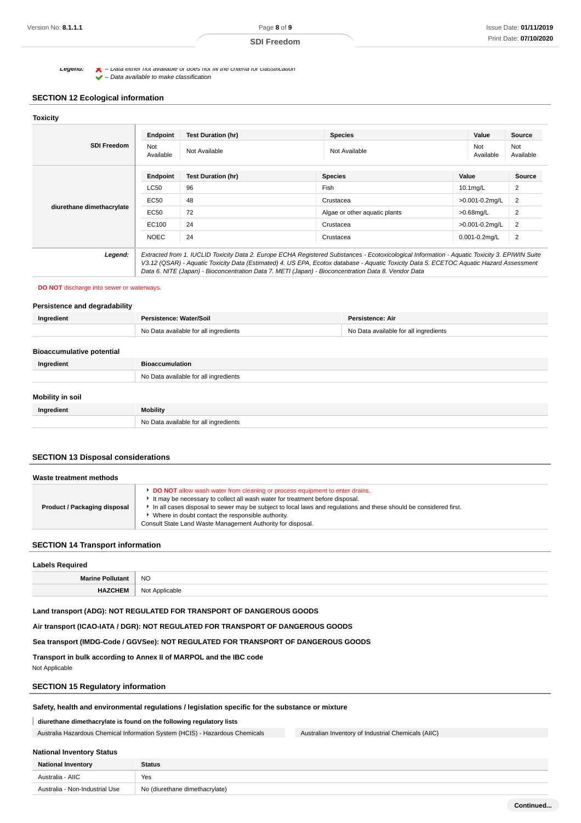**Legena:**  $\bullet$  – Data either not available or does not fill the criteria for classification

 $\blacktriangleright$  – Data available to make classification

## **SECTION 12 Ecological information**

| <b>SDI Freedom</b>        | Endpoint         | <b>Test Duration (hr)</b> | <b>Species</b>                                                                                                                                                                                                                                                                                                                                                                                  | Value              | Source           |
|---------------------------|------------------|---------------------------|-------------------------------------------------------------------------------------------------------------------------------------------------------------------------------------------------------------------------------------------------------------------------------------------------------------------------------------------------------------------------------------------------|--------------------|------------------|
|                           | Not<br>Available | Not Available             | Not<br>Not Available<br>Available                                                                                                                                                                                                                                                                                                                                                               |                    | Not<br>Available |
| diurethane dimethacrylate | Endpoint         | <b>Test Duration (hr)</b> | <b>Species</b>                                                                                                                                                                                                                                                                                                                                                                                  | Value              | Source           |
|                           | LC50             | 96                        | Fish                                                                                                                                                                                                                                                                                                                                                                                            | $10.1$ mg/L        | 2                |
|                           | EC50             | 48                        | Crustacea                                                                                                                                                                                                                                                                                                                                                                                       | >0.001-0.2mg/L     | 2                |
|                           | EC50             | 72                        | Algae or other aquatic plants                                                                                                                                                                                                                                                                                                                                                                   | $>0.68$ mg/L       | 2                |
|                           | EC100            | 24                        | Crustacea                                                                                                                                                                                                                                                                                                                                                                                       | >0.001-0.2mg/L     | $\overline{2}$   |
|                           | <b>NOEC</b>      | 24                        | Crustacea                                                                                                                                                                                                                                                                                                                                                                                       | $0.001 - 0.2$ mg/L | $\overline{2}$   |
| Legend:                   |                  |                           | Extracted from 1. IUCLID Toxicity Data 2. Europe ECHA Registered Substances - Ecotoxicological Information - Aquatic Toxicity 3. EPIWIN Suite<br>V3.12 (QSAR) - Aquatic Toxicity Data (Estimated) 4. US EPA, Ecotox database - Aquatic Toxicity Data 5. ECETOC Aquatic Hazard Assessment<br>Data 6. NITE (Japan) - Bioconcentration Data 7. METI (Japan) - Bioconcentration Data 8. Vendor Data |                    |                  |

#### **DO NOT** discharge into sewer or waterways.

## **Persistence and degradability**

| Ingredient                       | Persistence: Water/Soil               | Persistence: Air                      |
|----------------------------------|---------------------------------------|---------------------------------------|
|                                  | No Data available for all ingredients | No Data available for all ingredients |
| <b>Bioaccumulative potential</b> |                                       |                                       |
| Ingredient                       | <b>Bioaccumulation</b>                |                                       |
|                                  | No Data available for all ingredients |                                       |
| Mobility in soil                 |                                       |                                       |
| Ingredient                       | Mobility                              |                                       |
|                                  | No Data available for all ingredients |                                       |

#### **SECTION 13 Disposal considerations**

| Waste treatment methods      |                                                                                                                                                                                                                                                                                                                                                                                                             |  |
|------------------------------|-------------------------------------------------------------------------------------------------------------------------------------------------------------------------------------------------------------------------------------------------------------------------------------------------------------------------------------------------------------------------------------------------------------|--|
| Product / Packaging disposal | <b>DO NOT</b> allow wash water from cleaning or process equipment to enter drains.<br>It may be necessary to collect all wash water for treatment before disposal.<br>In all cases disposal to sewer may be subject to local laws and regulations and these should be considered first.<br>Where in doubt contact the responsible authority.<br>Consult State Land Waste Management Authority for disposal. |  |

#### **SECTION 14 Transport information**

| <b>Labels Required</b>  |                |  |
|-------------------------|----------------|--|
| <b>Marine Pollutant</b> | <b>NO</b>      |  |
| <b>HAZCHEM</b>          | Not Applicable |  |

#### **Land transport (ADG): NOT REGULATED FOR TRANSPORT OF DANGEROUS GOODS**

**Air transport (ICAO-IATA / DGR): NOT REGULATED FOR TRANSPORT OF DANGEROUS GOODS**

**Sea transport (IMDG-Code / GGVSee): NOT REGULATED FOR TRANSPORT OF DANGEROUS GOODS**

**Transport in bulk according to Annex II of MARPOL and the IBC code** Not Applicable

## **SECTION 15 Regulatory information**

### **Safety, health and environmental regulations / legislation specific for the substance or mixture**

## **diurethane dimethacrylate is found on the following regulatory lists**

Australia Hazardous Chemical Information System (HCIS) - Hazardous Chemicals Australian Inventory of Industrial Chemicals (AIIC)

# **National Inventory Status National Inventory Status** Australia - AIIC Yes Australia - Non-Industrial Use No (diurethane dimethacrylate)

**Continued...**